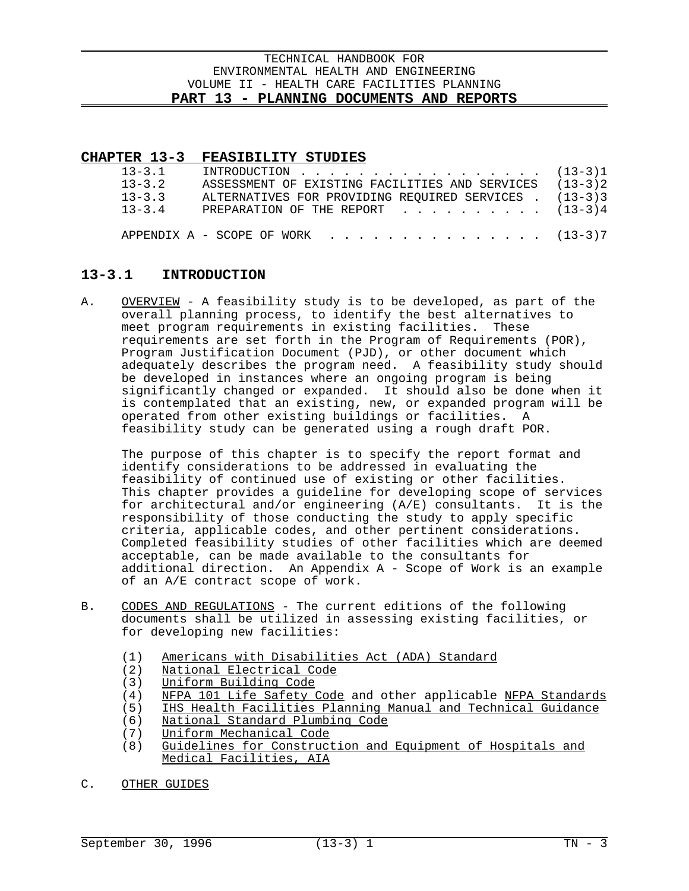## **CHAPTER 13-3 FEASIBILITY STUDIES**

| $13 - 3.1$<br>$13 - 3.2$<br>$13 - 3.3$<br>$13 - 3.4$ | INTRODUCTION $\ldots$ , (13-3)1<br>ASSESSMENT OF EXISTING FACILITIES AND SERVICES (13-3)2<br>ALTERNATIVES FOR PROVIDING REOUIRED SERVICES . (13-3)3<br>PREPARATION OF THE REPORT $\cdot \cdot \cdot \cdot \cdot \cdot \cdot \cdot \cdot (13-3)4$ |  |
|------------------------------------------------------|--------------------------------------------------------------------------------------------------------------------------------------------------------------------------------------------------------------------------------------------------|--|
|                                                      | APPENDIX A - SCOPE OF WORK $\ldots$ , (13-3)7                                                                                                                                                                                                    |  |

 $\overline{a}$ 

# **13-3.1 INTRODUCTION**

A. OVERVIEW - A feasibility study is to be developed, as part of the overall planning process, to identify the best alternatives to meet program requirements in existing facilities. These requirements are set forth in the Program of Requirements (POR), Program Justification Document (PJD), or other document which adequately describes the program need. A feasibility study should be developed in instances where an ongoing program is being significantly changed or expanded. It should also be done when it is contemplated that an existing, new, or expanded program will be operated from other existing buildings or facilities. A feasibility study can be generated using a rough draft POR.

The purpose of this chapter is to specify the report format and identify considerations to be addressed in evaluating the feasibility of continued use of existing or other facilities. This chapter provides a guideline for developing scope of services for architectural and/or engineering (A/E) consultants. It is the responsibility of those conducting the study to apply specific criteria, applicable codes, and other pertinent considerations. Completed feasibility studies of other facilities which are deemed acceptable, can be made available to the consultants for additional direction. An Appendix A - Scope of Work is an example of an A/E contract scope of work.

- B. CODES AND REGULATIONS The current editions of the following documents shall be utilized in assessing existing facilities, or for developing new facilities:
	- (1) Americans with Disabilities Act (ADA) Standard
	- (2) National Electrical Code
	- (3) Uniform Building Code
	- (4) NFPA 101 Life Safety Code and other applicable NFPA Standards
	- (5) IHS Health Facilities Planning Manual and Technical Guidance
	- (6) National Standard Plumbing Code
	- (7) Uniform Mechanical Code
	- (8) Guidelines for Construction and Equipment of Hospitals and Medical Facilities, AIA
- C. OTHER GUIDES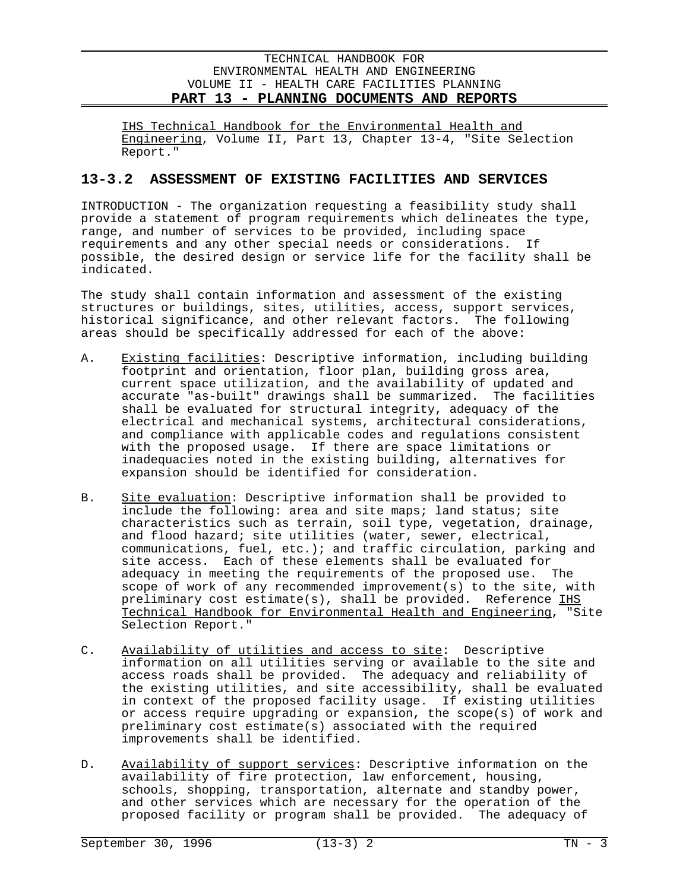IHS Technical Handbook for the Environmental Health and Engineering, Volume II, Part 13, Chapter 13-4, "Site Selection Report."

# **13-3.2 ASSESSMENT OF EXISTING FACILITIES AND SERVICES**

INTRODUCTION - The organization requesting a feasibility study shall provide a statement of program requirements which delineates the type, range, and number of services to be provided, including space requirements and any other special needs or considerations. If possible, the desired design or service life for the facility shall be indicated.

The study shall contain information and assessment of the existing structures or buildings, sites, utilities, access, support services, historical significance, and other relevant factors. The following areas should be specifically addressed for each of the above:

- A. Existing facilities: Descriptive information, including building footprint and orientation, floor plan, building gross area, current space utilization, and the availability of updated and accurate "as-built" drawings shall be summarized. The facilities shall be evaluated for structural integrity, adequacy of the electrical and mechanical systems, architectural considerations, and compliance with applicable codes and regulations consistent with the proposed usage. If there are space limitations or inadequacies noted in the existing building, alternatives for expansion should be identified for consideration.
- B. Site evaluation: Descriptive information shall be provided to include the following: area and site maps; land status; site characteristics such as terrain, soil type, vegetation, drainage, and flood hazard; site utilities (water, sewer, electrical, communications, fuel, etc.); and traffic circulation, parking and site access. Each of these elements shall be evaluated for adequacy in meeting the requirements of the proposed use. The scope of work of any recommended improvement(s) to the site, with preliminary cost estimate(s), shall be provided. Reference  $I$ HS Technical Handbook for Environmental Health and Engineering, "Site Selection Report."
- C. Availability of utilities and access to site: Descriptive information on all utilities serving or available to the site and access roads shall be provided. The adequacy and reliability of the existing utilities, and site accessibility, shall be evaluated in context of the proposed facility usage. If existing utilities or access require upgrading or expansion, the scope(s) of work and preliminary cost estimate(s) associated with the required improvements shall be identified.
- D. Availability of support services: Descriptive information on the availability of fire protection, law enforcement, housing, schools, shopping, transportation, alternate and standby power, and other services which are necessary for the operation of the proposed facility or program shall be provided. The adequacy of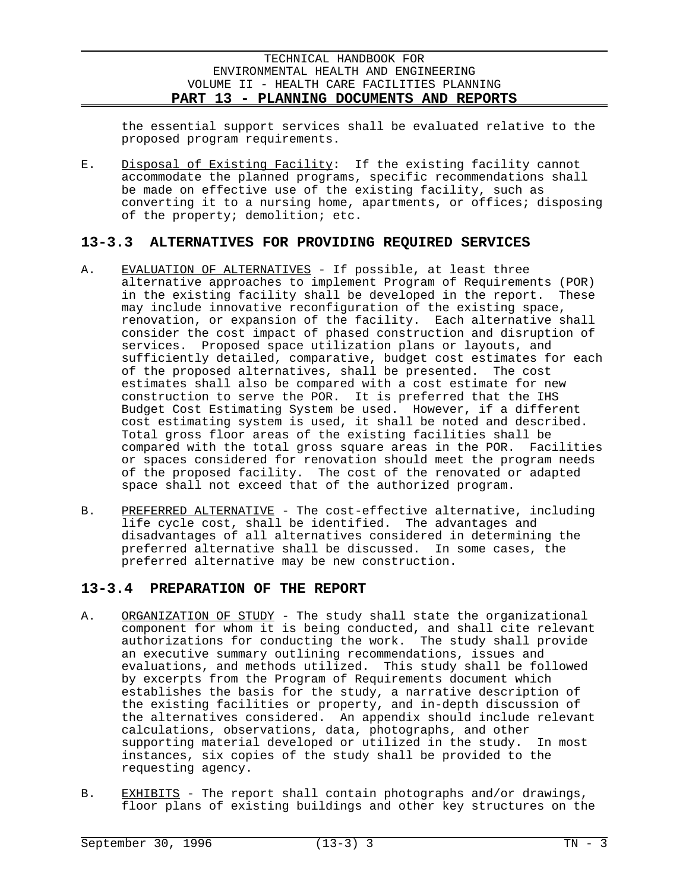the essential support services shall be evaluated relative to the proposed program requirements.

E. Disposal of Existing Facility: If the existing facility cannot accommodate the planned programs, specific recommendations shall be made on effective use of the existing facility, such as converting it to a nursing home, apartments, or offices; disposing of the property; demolition; etc.

# **13-3.3 ALTERNATIVES FOR PROVIDING REQUIRED SERVICES**

- A. EVALUATION OF ALTERNATIVES If possible, at least three alternative approaches to implement Program of Requirements (POR) in the existing facility shall be developed in the report. These may include innovative reconfiguration of the existing space, renovation, or expansion of the facility. Each alternative shall consider the cost impact of phased construction and disruption of services. Proposed space utilization plans or layouts, and sufficiently detailed, comparative, budget cost estimates for each of the proposed alternatives, shall be presented. The cost estimates shall also be compared with a cost estimate for new construction to serve the POR. It is preferred that the IHS Budget Cost Estimating System be used. However, if a different cost estimating system is used, it shall be noted and described. Total gross floor areas of the existing facilities shall be compared with the total gross square areas in the POR. Facilities or spaces considered for renovation should meet the program needs of the proposed facility. The cost of the renovated or adapted space shall not exceed that of the authorized program.
- B. PREFERRED ALTERNATIVE The cost-effective alternative, including life cycle cost, shall be identified. The advantages and disadvantages of all alternatives considered in determining the preferred alternative shall be discussed. In some cases, the preferred alternative may be new construction.

# **13-3.4 PREPARATION OF THE REPORT**

- A. ORGANIZATION OF STUDY The study shall state the organizational component for whom it is being conducted, and shall cite relevant authorizations for conducting the work. The study shall provide an executive summary outlining recommendations, issues and evaluations, and methods utilized. This study shall be followed by excerpts from the Program of Requirements document which establishes the basis for the study, a narrative description of the existing facilities or property, and in-depth discussion of the alternatives considered. An appendix should include relevant calculations, observations, data, photographs, and other supporting material developed or utilized in the study. In most instances, six copies of the study shall be provided to the requesting agency.
- B. EXHIBITS The report shall contain photographs and/or drawings, floor plans of existing buildings and other key structures on the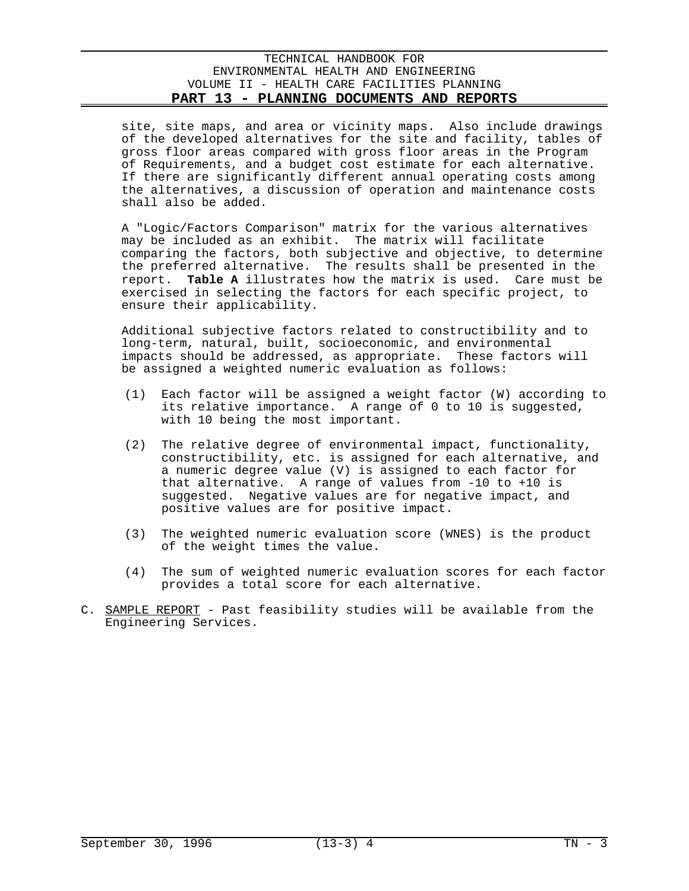site, site maps, and area or vicinity maps. Also include drawings of the developed alternatives for the site and facility, tables of gross floor areas compared with gross floor areas in the Program of Requirements, and a budget cost estimate for each alternative. If there are significantly different annual operating costs among the alternatives, a discussion of operation and maintenance costs shall also be added.

A "Logic/Factors Comparison" matrix for the various alternatives may be included as an exhibit. The matrix will facilitate comparing the factors, both subjective and objective, to determine the preferred alternative. The results shall be presented in the report. **Table A** illustrates how the matrix is used. Care must be exercised in selecting the factors for each specific project, to ensure their applicability.

Additional subjective factors related to constructibility and to long-term, natural, built, socioeconomic, and environmental impacts should be addressed, as appropriate. These factors will be assigned a weighted numeric evaluation as follows:

- $(1)$  Each factor will be assigned a weight factor  $(W)$  according to its relative importance. A range of 0 to 10 is suggested, with 10 being the most important.
- (2) The relative degree of environmental impact, functionality, constructibility, etc. is assigned for each alternative, and a numeric degree value (V) is assigned to each factor for that alternative. A range of values from -10 to +10 is suggested. Negative values are for negative impact, and positive values are for positive impact.
- (3) The weighted numeric evaluation score (WNES) is the product of the weight times the value.
- (4) The sum of weighted numeric evaluation scores for each factor provides a total score for each alternative.
- C. SAMPLE REPORT Past feasibility studies will be available from the Engineering Services.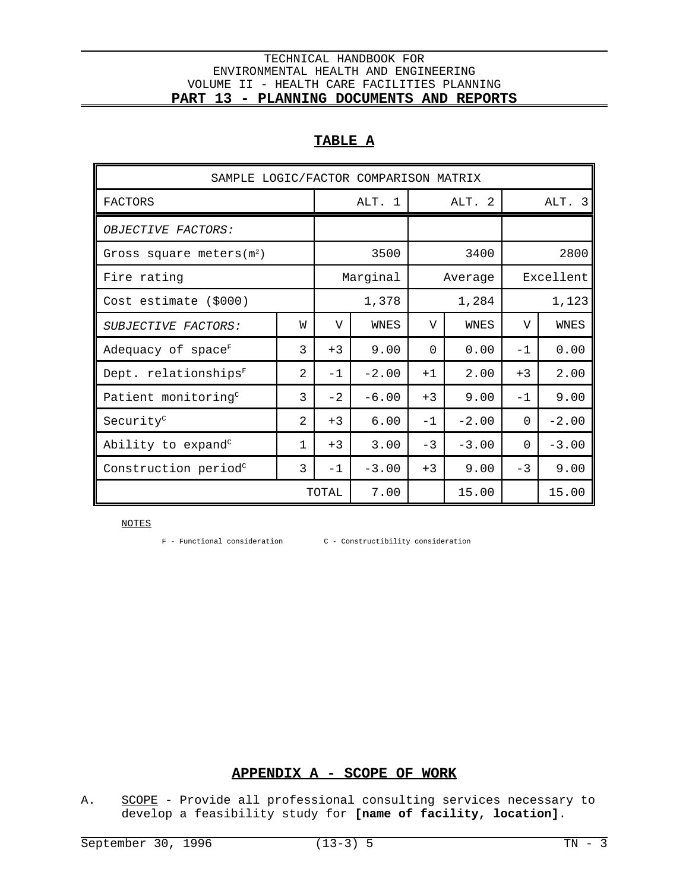# **TABLE A**

| SAMPLE LOGIC/FACTOR COMPARISON MATRIX |                |                |          |          |         |          |           |  |  |  |
|---------------------------------------|----------------|----------------|----------|----------|---------|----------|-----------|--|--|--|
| <b>FACTORS</b>                        |                |                | ALT. 1   |          | ALT. 2  |          | ALT. 3    |  |  |  |
| OBJECTIVE FACTORS:                    |                |                |          |          |         |          |           |  |  |  |
| Gross square meters $(m2)$            |                |                | 3500     |          | 3400    |          | 2800      |  |  |  |
| Fire rating                           |                |                | Marginal |          | Average |          | Excellent |  |  |  |
| Cost estimate (\$000)                 |                | 1,378          |          | 1,284    |         | 1,123    |           |  |  |  |
| SUBJECTIVE FACTORS:                   | W              | $\overline{V}$ | WNES     | V        | WNES    | V        | WNES      |  |  |  |
| Adequacy of $space^F$                 | 3              | $+3$           | 9.00     | $\Omega$ | 0.00    | $-1$     | 0.00      |  |  |  |
| Dept. relationships <sup>F</sup>      | 2              | $-1$           | $-2.00$  | $+1$     | 2.00    | $+3$     | 2.00      |  |  |  |
| Patient monitoring <sup>c</sup>       | 3              | $-2$           | $-6.00$  | $+3$     | 9.00    | $-1$     | 9.00      |  |  |  |
| Security <sup>c</sup>                 | $\mathfrak{D}$ | $+3$           | 6.00     | $-1$     | $-2.00$ | $\Omega$ | $-2.00$   |  |  |  |
| Ability to expand <sup>c</sup>        | 1              | $+3$           | 3.00     | $-3$     | $-3.00$ | 0        | $-3.00$   |  |  |  |
| Construction period <sup>c</sup>      | 3              | $-1$           | $-3.00$  | $+3$     | 9.00    | $-3$     | 9.00      |  |  |  |
|                                       | TOTAL          |                | 7.00     |          | 15.00   |          | 15.00     |  |  |  |

NOTES

F - Functional consideration C - Constructibility consideration

# **APPENDIX A - SCOPE OF WORK**

A. SCOPE - Provide all professional consulting services necessary to develop a feasibility study for **[name of facility, location]**.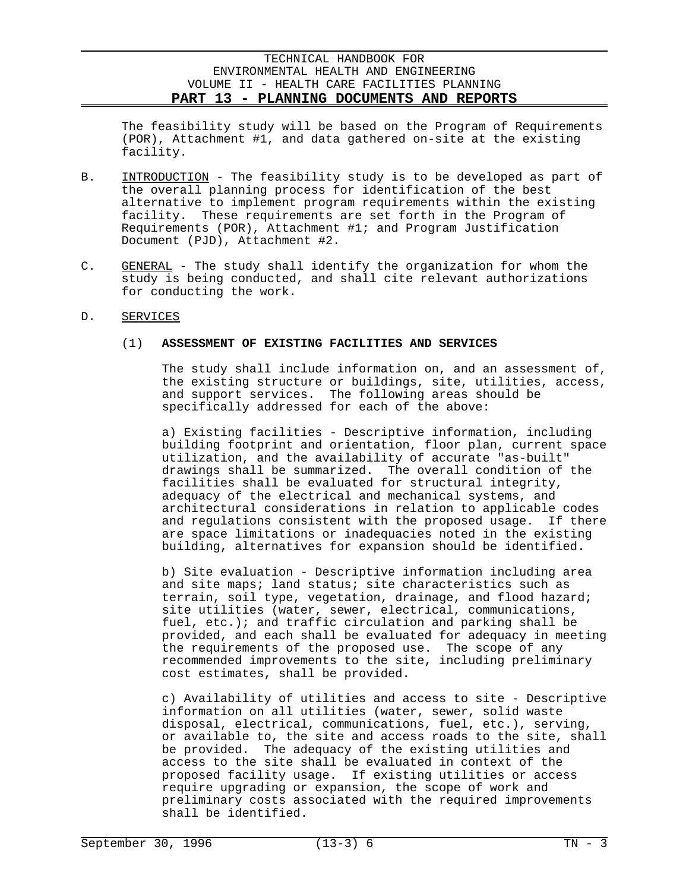The feasibility study will be based on the Program of Requirements (POR), Attachment #1, and data gathered on-site at the existing facility.

- B. INTRODUCTION The feasibility study is to be developed as part of the overall planning process for identification of the best alternative to implement program requirements within the existing facility. These requirements are set forth in the Program of Requirements (POR), Attachment #1; and Program Justification Document (PJD), Attachment #2.
- C. GENERAL The study shall identify the organization for whom the study is being conducted, and shall cite relevant authorizations for conducting the work.

### D. SERVICES

## (1) **ASSESSMENT OF EXISTING FACILITIES AND SERVICES**

The study shall include information on, and an assessment of, the existing structure or buildings, site, utilities, access, and support services. The following areas should be specifically addressed for each of the above:

a) Existing facilities - Descriptive information, including building footprint and orientation, floor plan, current space utilization, and the availability of accurate "as-built" drawings shall be summarized. The overall condition of the facilities shall be evaluated for structural integrity, adequacy of the electrical and mechanical systems, and architectural considerations in relation to applicable codes and regulations consistent with the proposed usage. If there are space limitations or inadequacies noted in the existing building, alternatives for expansion should be identified.

b) Site evaluation - Descriptive information including area and site maps; land status; site characteristics such as terrain, soil type, vegetation, drainage, and flood hazard; site utilities (water, sewer, electrical, communications, fuel, etc.); and traffic circulation and parking shall be provided, and each shall be evaluated for adequacy in meeting the requirements of the proposed use. The scope of any recommended improvements to the site, including preliminary cost estimates, shall be provided.

c) Availability of utilities and access to site - Descriptive information on all utilities (water, sewer, solid waste disposal, electrical, communications, fuel, etc.), serving, or available to, the site and access roads to the site, shall be provided. The adequacy of the existing utilities and access to the site shall be evaluated in context of the proposed facility usage. If existing utilities or access require upgrading or expansion, the scope of work and preliminary costs associated with the required improvements shall be identified.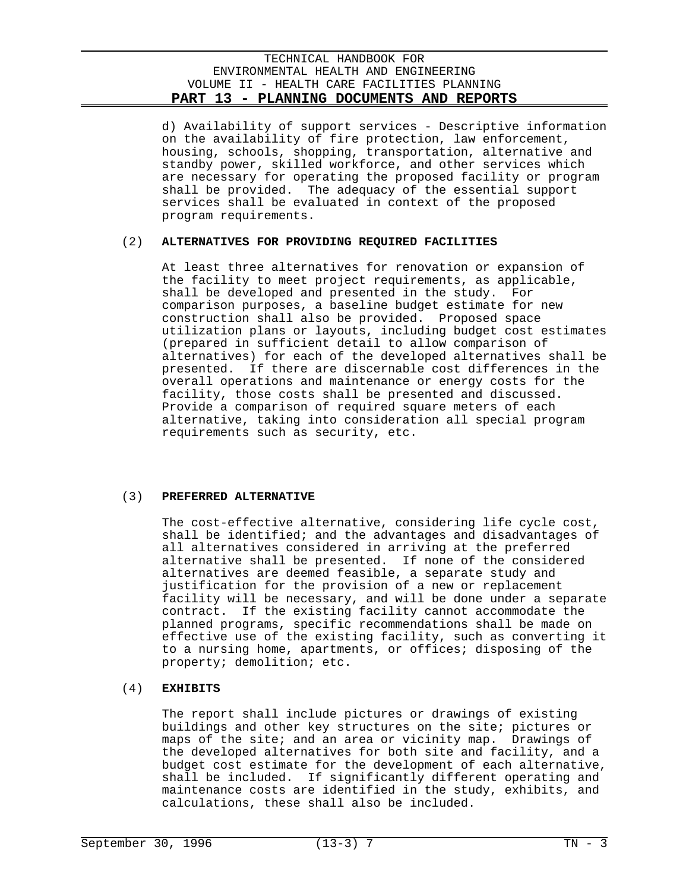d) Availability of support services - Descriptive information on the availability of fire protection, law enforcement, housing, schools, shopping, transportation, alternative and standby power, skilled workforce, and other services which are necessary for operating the proposed facility or program shall be provided. The adequacy of the essential support services shall be evaluated in context of the proposed program requirements.

## (2) **ALTERNATIVES FOR PROVIDING REQUIRED FACILITIES**

At least three alternatives for renovation or expansion of the facility to meet project requirements, as applicable, shall be developed and presented in the study. For comparison purposes, a baseline budget estimate for new construction shall also be provided. Proposed space utilization plans or layouts, including budget cost estimates (prepared in sufficient detail to allow comparison of alternatives) for each of the developed alternatives shall be presented. If there are discernable cost differences in the overall operations and maintenance or energy costs for the facility, those costs shall be presented and discussed. Provide a comparison of required square meters of each alternative, taking into consideration all special program requirements such as security, etc.

### (3) **PREFERRED ALTERNATIVE**

The cost-effective alternative, considering life cycle cost, shall be identified; and the advantages and disadvantages of all alternatives considered in arriving at the preferred alternative shall be presented. If none of the considered alternatives are deemed feasible, a separate study and justification for the provision of a new or replacement facility will be necessary, and will be done under a separate contract. If the existing facility cannot accommodate the planned programs, specific recommendations shall be made on effective use of the existing facility, such as converting it to a nursing home, apartments, or offices; disposing of the property; demolition; etc.

## (4) **EXHIBITS**

The report shall include pictures or drawings of existing buildings and other key structures on the site; pictures or maps of the site; and an area or vicinity map. Drawings of the developed alternatives for both site and facility, and a budget cost estimate for the development of each alternative, shall be included. If significantly different operating and maintenance costs are identified in the study, exhibits, and calculations, these shall also be included.